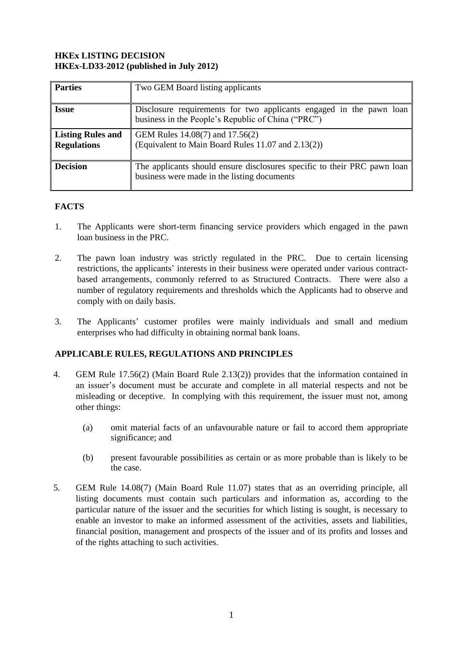## **HKEx LISTING DECISION HKEx-LD33-2012 (published in July 2012)**

| <b>Parties</b>                                 | Two GEM Board listing applicants                                                                                          |
|------------------------------------------------|---------------------------------------------------------------------------------------------------------------------------|
| <b>Issue</b>                                   | Disclosure requirements for two applicants engaged in the pawn loan<br>business in the People's Republic of China ("PRC") |
| <b>Listing Rules and</b><br><b>Regulations</b> | GEM Rules 14.08(7) and 17.56(2)<br>(Equivalent to Main Board Rules 11.07 and 2.13(2))                                     |
| <b>Decision</b>                                | The applicants should ensure disclosures specific to their PRC pawn loan<br>business were made in the listing documents   |

## **FACTS**

- 1. The Applicants were short-term financing service providers which engaged in the pawn loan business in the PRC.
- 2. The pawn loan industry was strictly regulated in the PRC. Due to certain licensing restrictions, the applicants' interests in their business were operated under various contractbased arrangements, commonly referred to as Structured Contracts. There were also a number of regulatory requirements and thresholds which the Applicants had to observe and comply with on daily basis.
- 3. The Applicants' customer profiles were mainly individuals and small and medium enterprises who had difficulty in obtaining normal bank loans.

## **APPLICABLE RULES, REGULATIONS AND PRINCIPLES**

- 4. GEM Rule 17.56(2) (Main Board Rule 2.13(2)) provides that the information contained in an issuer's document must be accurate and complete in all material respects and not be misleading or deceptive. In complying with this requirement, the issuer must not, among other things:
	- (a) omit material facts of an unfavourable nature or fail to accord them appropriate significance; and
	- (b) present favourable possibilities as certain or as more probable than is likely to be the case.
- 5. GEM Rule 14.08(7) (Main Board Rule 11.07) states that as an overriding principle, all listing documents must contain such particulars and information as, according to the particular nature of the issuer and the securities for which listing is sought, is necessary to enable an investor to make an informed assessment of the activities, assets and liabilities, financial position, management and prospects of the issuer and of its profits and losses and of the rights attaching to such activities.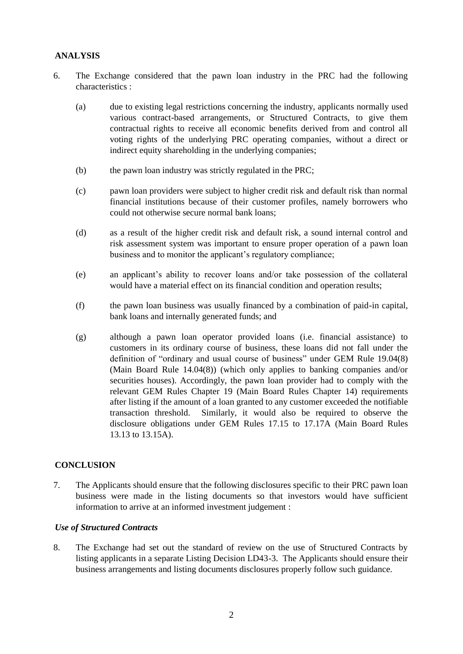## **ANALYSIS**

- 6. The Exchange considered that the pawn loan industry in the PRC had the following characteristics :
	- (a) due to existing legal restrictions concerning the industry, applicants normally used various contract-based arrangements, or Structured Contracts, to give them contractual rights to receive all economic benefits derived from and control all voting rights of the underlying PRC operating companies, without a direct or indirect equity shareholding in the underlying companies;
	- (b) the pawn loan industry was strictly regulated in the PRC;
	- (c) pawn loan providers were subject to higher credit risk and default risk than normal financial institutions because of their customer profiles, namely borrowers who could not otherwise secure normal bank loans;
	- (d) as a result of the higher credit risk and default risk, a sound internal control and risk assessment system was important to ensure proper operation of a pawn loan business and to monitor the applicant's regulatory compliance;
	- (e) an applicant's ability to recover loans and/or take possession of the collateral would have a material effect on its financial condition and operation results;
	- (f) the pawn loan business was usually financed by a combination of paid-in capital, bank loans and internally generated funds; and
	- (g) although a pawn loan operator provided loans (i.e. financial assistance) to customers in its ordinary course of business, these loans did not fall under the definition of "ordinary and usual course of business" under GEM Rule 19.04(8) (Main Board Rule 14.04(8)) (which only applies to banking companies and/or securities houses). Accordingly, the pawn loan provider had to comply with the relevant GEM Rules Chapter 19 (Main Board Rules Chapter 14) requirements after listing if the amount of a loan granted to any customer exceeded the notifiable transaction threshold. Similarly, it would also be required to observe the disclosure obligations under GEM Rules 17.15 to 17.17A (Main Board Rules 13.13 to 13.15A).

## **CONCLUSION**

7. The Applicants should ensure that the following disclosures specific to their PRC pawn loan business were made in the listing documents so that investors would have sufficient information to arrive at an informed investment judgement :

## *Use of Structured Contracts*

8. The Exchange had set out the standard of review on the use of Structured Contracts by listing applicants in a separate Listing Decision LD43-3. The Applicants should ensure their business arrangements and listing documents disclosures properly follow such guidance.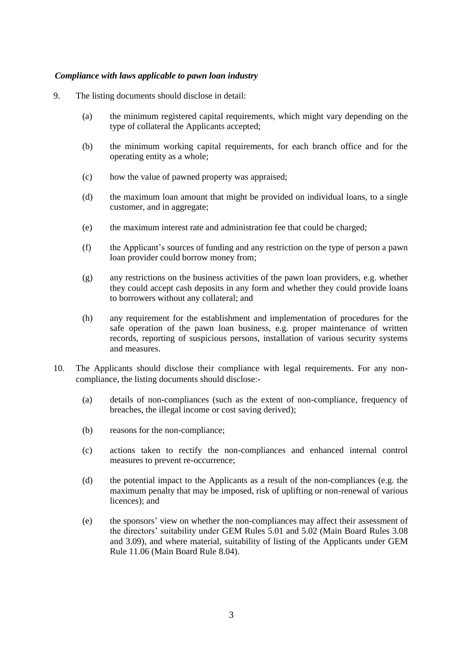#### *Compliance with laws applicable to pawn loan industry*

- 9. The listing documents should disclose in detail:
	- (a) the minimum registered capital requirements, which might vary depending on the type of collateral the Applicants accepted;
	- (b) the minimum working capital requirements, for each branch office and for the operating entity as a whole;
	- (c) how the value of pawned property was appraised;
	- (d) the maximum loan amount that might be provided on individual loans, to a single customer, and in aggregate;
	- (e) the maximum interest rate and administration fee that could be charged;
	- (f) the Applicant's sources of funding and any restriction on the type of person a pawn loan provider could borrow money from;
	- (g) any restrictions on the business activities of the pawn loan providers, e.g. whether they could accept cash deposits in any form and whether they could provide loans to borrowers without any collateral; and
	- (h) any requirement for the establishment and implementation of procedures for the safe operation of the pawn loan business, e.g. proper maintenance of written records, reporting of suspicious persons, installation of various security systems and measures.
- 10. The Applicants should disclose their compliance with legal requirements. For any noncompliance, the listing documents should disclose:-
	- (a) details of non-compliances (such as the extent of non-compliance, frequency of breaches, the illegal income or cost saving derived);
	- (b) reasons for the non-compliance;
	- (c) actions taken to rectify the non-compliances and enhanced internal control measures to prevent re-occurrence;
	- (d) the potential impact to the Applicants as a result of the non-compliances (e.g. the maximum penalty that may be imposed, risk of uplifting or non-renewal of various licences); and
	- (e) the sponsors' view on whether the non-compliances may affect their assessment of the directors' suitability under GEM Rules 5.01 and 5.02 (Main Board Rules 3.08 and 3.09), and where material, suitability of listing of the Applicants under GEM Rule 11.06 (Main Board Rule 8.04).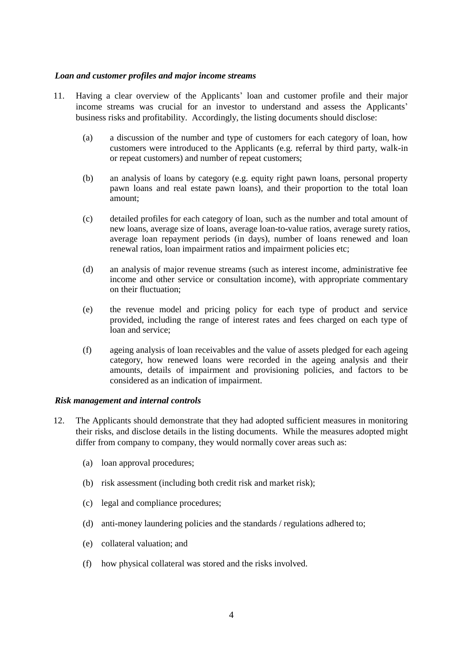### *Loan and customer profiles and major income streams*

- 11. Having a clear overview of the Applicants' loan and customer profile and their major income streams was crucial for an investor to understand and assess the Applicants' business risks and profitability. Accordingly, the listing documents should disclose:
	- (a) a discussion of the number and type of customers for each category of loan, how customers were introduced to the Applicants (e.g. referral by third party, walk-in or repeat customers) and number of repeat customers;
	- (b) an analysis of loans by category (e.g. equity right pawn loans, personal property pawn loans and real estate pawn loans), and their proportion to the total loan amount;
	- (c) detailed profiles for each category of loan, such as the number and total amount of new loans, average size of loans, average loan-to-value ratios, average surety ratios, average loan repayment periods (in days), number of loans renewed and loan renewal ratios, loan impairment ratios and impairment policies etc;
	- (d) an analysis of major revenue streams (such as interest income, administrative fee income and other service or consultation income), with appropriate commentary on their fluctuation;
	- (e) the revenue model and pricing policy for each type of product and service provided, including the range of interest rates and fees charged on each type of loan and service;
	- (f) ageing analysis of loan receivables and the value of assets pledged for each ageing category, how renewed loans were recorded in the ageing analysis and their amounts, details of impairment and provisioning policies, and factors to be considered as an indication of impairment.

#### *Risk management and internal controls*

- 12. The Applicants should demonstrate that they had adopted sufficient measures in monitoring their risks, and disclose details in the listing documents. While the measures adopted might differ from company to company, they would normally cover areas such as:
	- (a) loan approval procedures;
	- (b) risk assessment (including both credit risk and market risk);
	- (c) legal and compliance procedures;
	- (d) anti-money laundering policies and the standards / regulations adhered to;
	- (e) collateral valuation; and
	- (f) how physical collateral was stored and the risks involved.